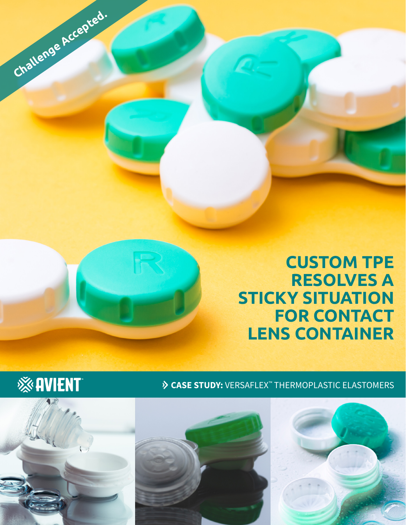





**Challenge Accepted.**

※AVIENT